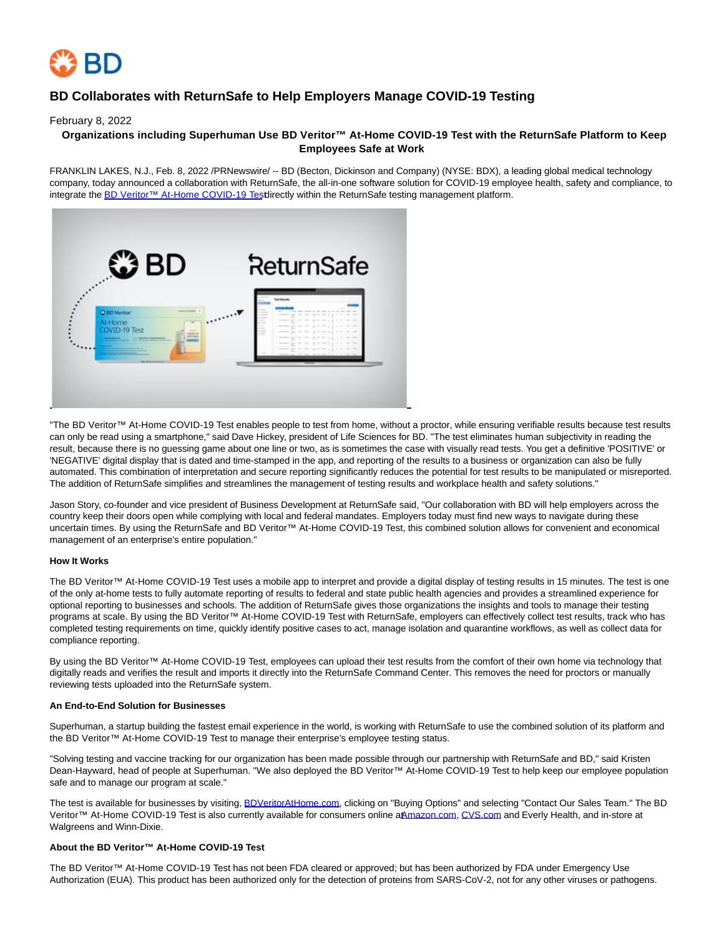

# **BD Collaborates with ReturnSafe to Help Employers Manage COVID-19 Testing**

February 8, 2022

# **Organizations including Superhuman Use BD Veritor™ At-Home COVID-19 Test with the ReturnSafe Platform to Keep Employees Safe at Work**

FRANKLIN LAKES, N.J., Feb. 8, 2022 /PRNewswire/ -- BD (Becton, Dickinson and Company) (NYSE: BDX), a leading global medical technology company, today announced a collaboration with ReturnSafe, the all-in-one software solution for COVID-19 employee health, safety and compliance, to integrate th[e BD Veritor™ At-Home COVID-19 Test d](https://c212.net/c/link/?t=0&l=en&o=3436570-1&h=1349039488&u=https%3A%2F%2Fc212.net%2Fc%2Flink%2F%3Ft%3D0%26l%3Den%26o%3D3335023-1%26h%3D1797395277%26u%3Dhttps%253A%252F%252Fwww.youtube.com%252Fwatch%253Fv%253DJaCMRdNc_fY%26a%3DThe%2BBD%2BVeritor%25E2%2584%25A2%2BAt-Home%2BCOVID-19%2BTest&a=BD+Veritor%E2%84%A2+At-Home+COVID-19+Test)irectly within the ReturnSafe testing management platform.



"The BD Veritor™ At-Home COVID-19 Test enables people to test from home, without a proctor, while ensuring verifiable results because test results can only be read using a smartphone," said Dave Hickey, president of Life Sciences for BD. "The test eliminates human subjectivity in reading the result, because there is no guessing game about one line or two, as is sometimes the case with visually read tests. You get a definitive 'POSITIVE' or 'NEGATIVE' digital display that is dated and time-stamped in the app, and reporting of the results to a business or organization can also be fully automated. This combination of interpretation and secure reporting significantly reduces the potential for test results to be manipulated or misreported. The addition of ReturnSafe simplifies and streamlines the management of testing results and workplace health and safety solutions."

Jason Story, co-founder and vice president of Business Development at ReturnSafe said, "Our collaboration with BD will help employers across the country keep their doors open while complying with local and federal mandates. Employers today must find new ways to navigate during these uncertain times. By using the ReturnSafe and BD Veritor™ At-Home COVID-19 Test, this combined solution allows for convenient and economical management of an enterprise's entire population."

# **How It Works**

The BD Veritor™ At-Home COVID-19 Test uses a mobile app to interpret and provide a digital display of testing results in 15 minutes. The test is one of the only at-home tests to fully automate reporting of results to federal and state public health agencies and provides a streamlined experience for optional reporting to businesses and schools. The addition of ReturnSafe gives those organizations the insights and tools to manage their testing programs at scale. By using the BD Veritor™ At-Home COVID-19 Test with ReturnSafe, employers can effectively collect test results, track who has completed testing requirements on time, quickly identify positive cases to act, manage isolation and quarantine workflows, as well as collect data for compliance reporting.

By using the BD Veritor™ At-Home COVID-19 Test, employees can upload their test results from the comfort of their own home via technology that digitally reads and verifies the result and imports it directly into the ReturnSafe Command Center. This removes the need for proctors or manually reviewing tests uploaded into the ReturnSafe system.

#### **An End-to-End Solution for Businesses**

Superhuman, a startup building the fastest email experience in the world, is working with ReturnSafe to use the combined solution of its platform and the BD Veritor™ At-Home COVID-19 Test to manage their enterprise's employee testing status.

"Solving testing and vaccine tracking for our organization has been made possible through our partnership with ReturnSafe and BD," said Kristen Dean-Hayward, head of people at Superhuman. "We also deployed the BD Veritor™ At-Home COVID-19 Test to help keep our employee population safe and to manage our program at scale."

The test is available for businesses by visiting, [BDVeritorAtHome.com,](https://c212.net/c/link/?t=0&l=en&o=3436570-1&h=3976754675&u=http%3A%2F%2Fwww.bdveritorathome.com%2F&a=BDVeritorAtHome.com) clicking on "Buying Options" and selecting "Contact Our Sales Team." The BD Veritor™ At-Home COVID-19 Test is also currently available for consumers online aAmazon.com, [CVS.com a](http://cvs.com/)nd Everly Health, and in-store at Walgreens and Winn-Dixie.

# **About the BD Veritor™ At-Home COVID-19 Test**

The BD Veritor™ At-Home COVID-19 Test has not been FDA cleared or approved; but has been authorized by FDA under Emergency Use Authorization (EUA). This product has been authorized only for the detection of proteins from SARS-CoV-2, not for any other viruses or pathogens.